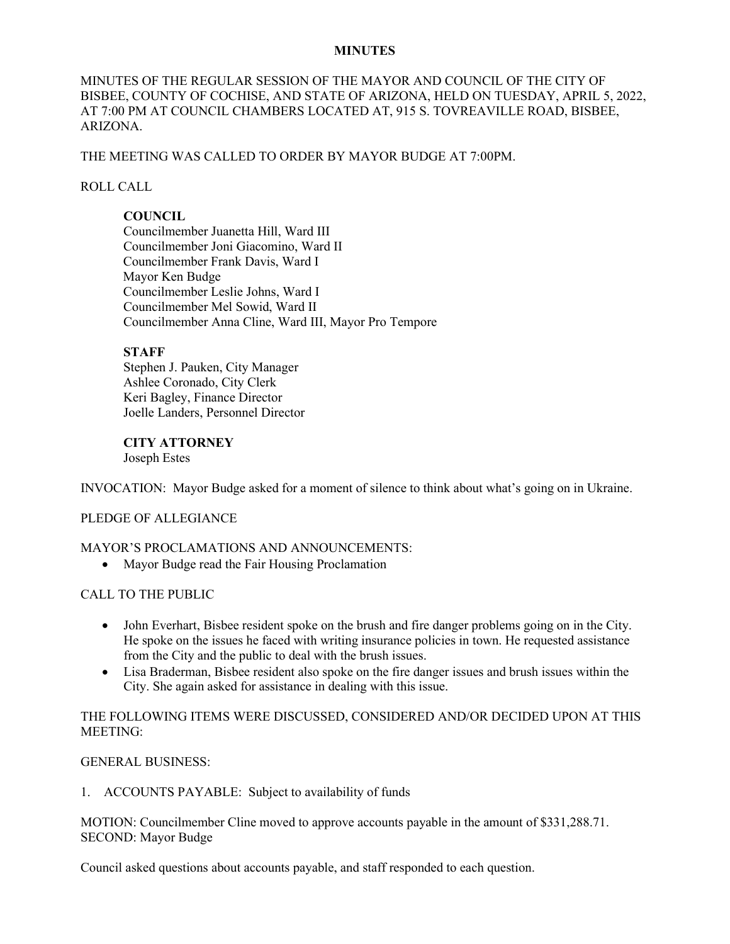### **MINUTES**

MINUTES OF THE REGULAR SESSION OF THE MAYOR AND COUNCIL OF THE CITY OF BISBEE, COUNTY OF COCHISE, AND STATE OF ARIZONA, HELD ON TUESDAY, APRIL 5, 2022, AT 7:00 PM AT COUNCIL CHAMBERS LOCATED AT, 915 S. TOVREAVILLE ROAD, BISBEE, ARIZONA.

## THE MEETING WAS CALLED TO ORDER BY MAYOR BUDGE AT 7:00PM.

## ROLL CALL

# **COUNCIL**

Councilmember Juanetta Hill, Ward III Councilmember Joni Giacomino, Ward II Councilmember Frank Davis, Ward I Mayor Ken Budge Councilmember Leslie Johns, Ward I Councilmember Mel Sowid, Ward II Councilmember Anna Cline, Ward III, Mayor Pro Tempore

## **STAFF**

Stephen J. Pauken, City Manager Ashlee Coronado, City Clerk Keri Bagley, Finance Director Joelle Landers, Personnel Director

**CITY ATTORNEY** Joseph Estes

INVOCATION: Mayor Budge asked for a moment of silence to think about what's going on in Ukraine.

## PLEDGE OF ALLEGIANCE

### MAYOR'S PROCLAMATIONS AND ANNOUNCEMENTS:

• Mayor Budge read the Fair Housing Proclamation

### CALL TO THE PUBLIC

- John Everhart, Bisbee resident spoke on the brush and fire danger problems going on in the City. He spoke on the issues he faced with writing insurance policies in town. He requested assistance from the City and the public to deal with the brush issues.
- Lisa Braderman, Bisbee resident also spoke on the fire danger issues and brush issues within the City. She again asked for assistance in dealing with this issue.

# THE FOLLOWING ITEMS WERE DISCUSSED, CONSIDERED AND/OR DECIDED UPON AT THIS MEETING:

## GENERAL BUSINESS:

1. ACCOUNTS PAYABLE: Subject to availability of funds

MOTION: Councilmember Cline moved to approve accounts payable in the amount of \$331,288.71. SECOND: Mayor Budge

Council asked questions about accounts payable, and staff responded to each question.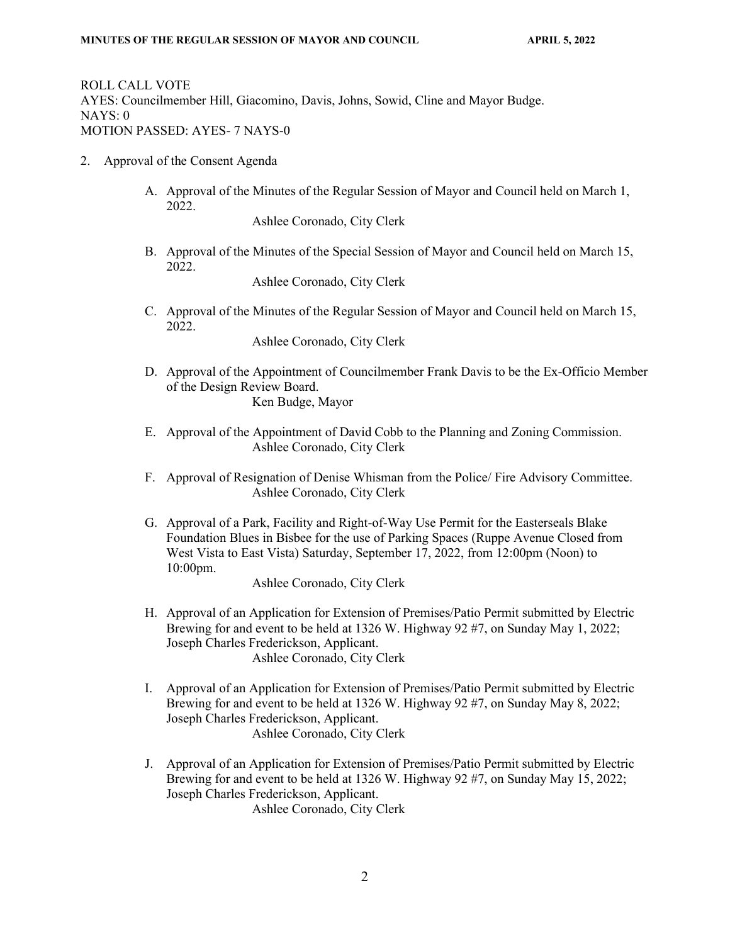ROLL CALL VOTE AYES: Councilmember Hill, Giacomino, Davis, Johns, Sowid, Cline and Mayor Budge. NAYS: 0 MOTION PASSED: AYES- 7 NAYS-0

- 2. Approval of the Consent Agenda
	- A. Approval of the Minutes of the Regular Session of Mayor and Council held on March 1, 2022.

Ashlee Coronado, City Clerk

B. Approval of the Minutes of the Special Session of Mayor and Council held on March 15, 2022.

Ashlee Coronado, City Clerk

C. Approval of the Minutes of the Regular Session of Mayor and Council held on March 15, 2022.

Ashlee Coronado, City Clerk

- D. Approval of the Appointment of Councilmember Frank Davis to be the Ex-Officio Member of the Design Review Board. Ken Budge, Mayor
- E. Approval of the Appointment of David Cobb to the Planning and Zoning Commission. Ashlee Coronado, City Clerk
- F. Approval of Resignation of Denise Whisman from the Police/ Fire Advisory Committee. Ashlee Coronado, City Clerk
- G. Approval of a Park, Facility and Right-of-Way Use Permit for the Easterseals Blake Foundation Blues in Bisbee for the use of Parking Spaces (Ruppe Avenue Closed from West Vista to East Vista) Saturday, September 17, 2022, from 12:00pm (Noon) to 10:00pm.

Ashlee Coronado, City Clerk

- H. Approval of an Application for Extension of Premises/Patio Permit submitted by Electric Brewing for and event to be held at 1326 W. Highway 92 #7, on Sunday May 1, 2022; Joseph Charles Frederickson, Applicant. Ashlee Coronado, City Clerk
- I. Approval of an Application for Extension of Premises/Patio Permit submitted by Electric Brewing for and event to be held at 1326 W. Highway 92 #7, on Sunday May 8, 2022; Joseph Charles Frederickson, Applicant. Ashlee Coronado, City Clerk
- J. Approval of an Application for Extension of Premises/Patio Permit submitted by Electric Brewing for and event to be held at 1326 W. Highway 92 #7, on Sunday May 15, 2022; Joseph Charles Frederickson, Applicant. Ashlee Coronado, City Clerk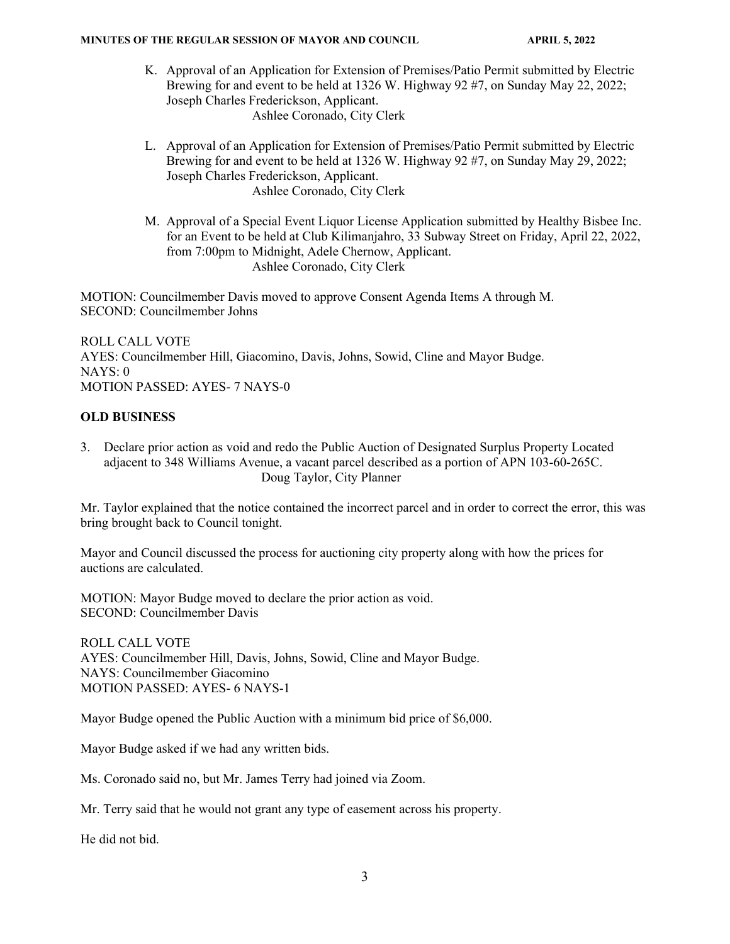- K. Approval of an Application for Extension of Premises/Patio Permit submitted by Electric Brewing for and event to be held at 1326 W. Highway 92 #7, on Sunday May 22, 2022; Joseph Charles Frederickson, Applicant. Ashlee Coronado, City Clerk
- L. Approval of an Application for Extension of Premises/Patio Permit submitted by Electric Brewing for and event to be held at 1326 W. Highway 92 #7, on Sunday May 29, 2022; Joseph Charles Frederickson, Applicant. Ashlee Coronado, City Clerk
- M. Approval of a Special Event Liquor License Application submitted by Healthy Bisbee Inc. for an Event to be held at Club Kilimanjahro, 33 Subway Street on Friday, April 22, 2022, from 7:00pm to Midnight, Adele Chernow, Applicant. Ashlee Coronado, City Clerk

MOTION: Councilmember Davis moved to approve Consent Agenda Items A through M. SECOND: Councilmember Johns

ROLL CALL VOTE AYES: Councilmember Hill, Giacomino, Davis, Johns, Sowid, Cline and Mayor Budge. NAYS: 0 MOTION PASSED: AYES- 7 NAYS-0

# **OLD BUSINESS**

3. Declare prior action as void and redo the Public Auction of Designated Surplus Property Located adjacent to 348 Williams Avenue, a vacant parcel described as a portion of APN 103-60-265C. Doug Taylor, City Planner

Mr. Taylor explained that the notice contained the incorrect parcel and in order to correct the error, this was bring brought back to Council tonight.

Mayor and Council discussed the process for auctioning city property along with how the prices for auctions are calculated.

MOTION: Mayor Budge moved to declare the prior action as void. SECOND: Councilmember Davis

ROLL CALL VOTE AYES: Councilmember Hill, Davis, Johns, Sowid, Cline and Mayor Budge. NAYS: Councilmember Giacomino MOTION PASSED: AYES- 6 NAYS-1

Mayor Budge opened the Public Auction with a minimum bid price of \$6,000.

Mayor Budge asked if we had any written bids.

Ms. Coronado said no, but Mr. James Terry had joined via Zoom.

Mr. Terry said that he would not grant any type of easement across his property.

He did not bid.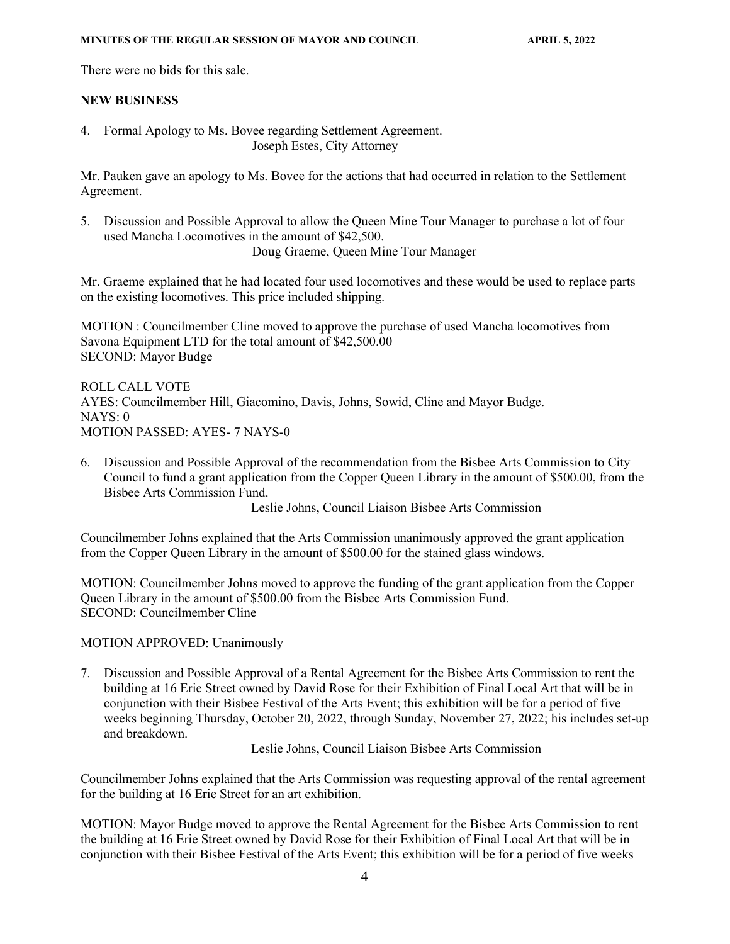There were no bids for this sale.

### **NEW BUSINESS**

4. Formal Apology to Ms. Bovee regarding Settlement Agreement. Joseph Estes, City Attorney

Mr. Pauken gave an apology to Ms. Bovee for the actions that had occurred in relation to the Settlement Agreement.

5. Discussion and Possible Approval to allow the Queen Mine Tour Manager to purchase a lot of four used Mancha Locomotives in the amount of \$42,500.

Doug Graeme, Queen Mine Tour Manager

Mr. Graeme explained that he had located four used locomotives and these would be used to replace parts on the existing locomotives. This price included shipping.

MOTION : Councilmember Cline moved to approve the purchase of used Mancha locomotives from Savona Equipment LTD for the total amount of \$42,500.00 SECOND: Mayor Budge

ROLL CALL VOTE AYES: Councilmember Hill, Giacomino, Davis, Johns, Sowid, Cline and Mayor Budge.  $NAYS: 0$ MOTION PASSED: AYES- 7 NAYS-0

6. Discussion and Possible Approval of the recommendation from the Bisbee Arts Commission to City Council to fund a grant application from the Copper Queen Library in the amount of \$500.00, from the Bisbee Arts Commission Fund.

Leslie Johns, Council Liaison Bisbee Arts Commission

Councilmember Johns explained that the Arts Commission unanimously approved the grant application from the Copper Queen Library in the amount of \$500.00 for the stained glass windows.

MOTION: Councilmember Johns moved to approve the funding of the grant application from the Copper Queen Library in the amount of \$500.00 from the Bisbee Arts Commission Fund. SECOND: Councilmember Cline

MOTION APPROVED: Unanimously

7. Discussion and Possible Approval of a Rental Agreement for the Bisbee Arts Commission to rent the building at 16 Erie Street owned by David Rose for their Exhibition of Final Local Art that will be in conjunction with their Bisbee Festival of the Arts Event; this exhibition will be for a period of five weeks beginning Thursday, October 20, 2022, through Sunday, November 27, 2022; his includes set-up and breakdown.

Leslie Johns, Council Liaison Bisbee Arts Commission

Councilmember Johns explained that the Arts Commission was requesting approval of the rental agreement for the building at 16 Erie Street for an art exhibition.

MOTION: Mayor Budge moved to approve the Rental Agreement for the Bisbee Arts Commission to rent the building at 16 Erie Street owned by David Rose for their Exhibition of Final Local Art that will be in conjunction with their Bisbee Festival of the Arts Event; this exhibition will be for a period of five weeks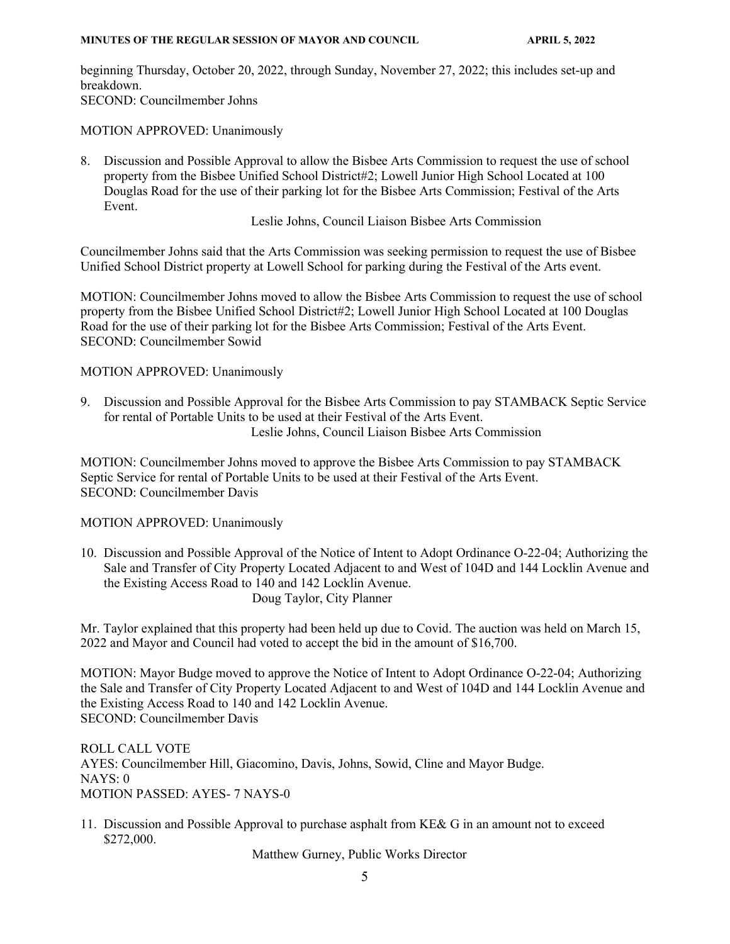beginning Thursday, October 20, 2022, through Sunday, November 27, 2022; this includes set-up and breakdown. SECOND: Councilmember Johns

MOTION APPROVED: Unanimously

8. Discussion and Possible Approval to allow the Bisbee Arts Commission to request the use of school property from the Bisbee Unified School District#2; Lowell Junior High School Located at 100 Douglas Road for the use of their parking lot for the Bisbee Arts Commission; Festival of the Arts Event.

Leslie Johns, Council Liaison Bisbee Arts Commission

Councilmember Johns said that the Arts Commission was seeking permission to request the use of Bisbee Unified School District property at Lowell School for parking during the Festival of the Arts event.

MOTION: Councilmember Johns moved to allow the Bisbee Arts Commission to request the use of school property from the Bisbee Unified School District#2; Lowell Junior High School Located at 100 Douglas Road for the use of their parking lot for the Bisbee Arts Commission; Festival of the Arts Event. SECOND: Councilmember Sowid

## MOTION APPROVED: Unanimously

9. Discussion and Possible Approval for the Bisbee Arts Commission to pay STAMBACK Septic Service for rental of Portable Units to be used at their Festival of the Arts Event. Leslie Johns, Council Liaison Bisbee Arts Commission

MOTION: Councilmember Johns moved to approve the Bisbee Arts Commission to pay STAMBACK Septic Service for rental of Portable Units to be used at their Festival of the Arts Event. SECOND: Councilmember Davis

MOTION APPROVED: Unanimously

10. Discussion and Possible Approval of the Notice of Intent to Adopt Ordinance O-22-04; Authorizing the Sale and Transfer of City Property Located Adjacent to and West of 104D and 144 Locklin Avenue and the Existing Access Road to 140 and 142 Locklin Avenue. Doug Taylor, City Planner

Mr. Taylor explained that this property had been held up due to Covid. The auction was held on March 15, 2022 and Mayor and Council had voted to accept the bid in the amount of \$16,700.

MOTION: Mayor Budge moved to approve the Notice of Intent to Adopt Ordinance O-22-04; Authorizing the Sale and Transfer of City Property Located Adjacent to and West of 104D and 144 Locklin Avenue and the Existing Access Road to 140 and 142 Locklin Avenue. SECOND: Councilmember Davis

ROLL CALL VOTE AYES: Councilmember Hill, Giacomino, Davis, Johns, Sowid, Cline and Mayor Budge. NAYS: 0 MOTION PASSED: AYES- 7 NAYS-0

11. Discussion and Possible Approval to purchase asphalt from KE& G in an amount not to exceed \$272,000.

Matthew Gurney, Public Works Director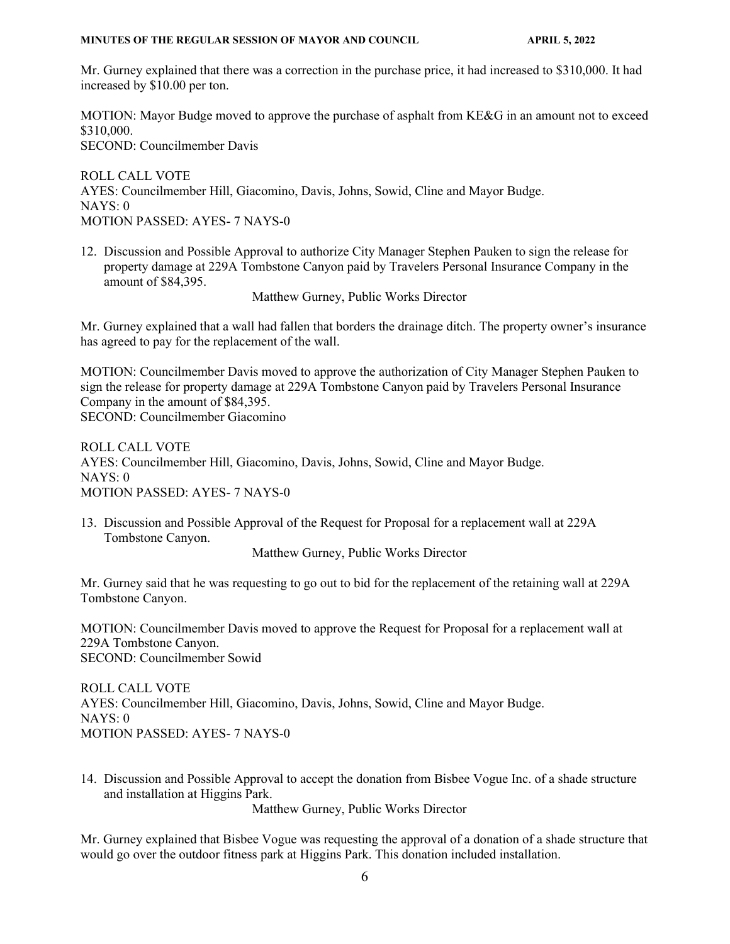Mr. Gurney explained that there was a correction in the purchase price, it had increased to \$310,000. It had increased by \$10.00 per ton.

MOTION: Mayor Budge moved to approve the purchase of asphalt from KE&G in an amount not to exceed \$310,000. SECOND: Councilmember Davis

ROLL CALL VOTE AYES: Councilmember Hill, Giacomino, Davis, Johns, Sowid, Cline and Mayor Budge.  $NAYS: 0$ MOTION PASSED: AYES- 7 NAYS-0

12. Discussion and Possible Approval to authorize City Manager Stephen Pauken to sign the release for property damage at 229A Tombstone Canyon paid by Travelers Personal Insurance Company in the amount of \$84,395.

Matthew Gurney, Public Works Director

Mr. Gurney explained that a wall had fallen that borders the drainage ditch. The property owner's insurance has agreed to pay for the replacement of the wall.

MOTION: Councilmember Davis moved to approve the authorization of City Manager Stephen Pauken to sign the release for property damage at 229A Tombstone Canyon paid by Travelers Personal Insurance Company in the amount of \$84,395. SECOND: Councilmember Giacomino

ROLL CALL VOTE AYES: Councilmember Hill, Giacomino, Davis, Johns, Sowid, Cline and Mayor Budge. NAYS: 0 MOTION PASSED: AYES- 7 NAYS-0

13. Discussion and Possible Approval of the Request for Proposal for a replacement wall at 229A Tombstone Canyon.

Matthew Gurney, Public Works Director

Mr. Gurney said that he was requesting to go out to bid for the replacement of the retaining wall at 229A Tombstone Canyon.

MOTION: Councilmember Davis moved to approve the Request for Proposal for a replacement wall at 229A Tombstone Canyon. SECOND: Councilmember Sowid

ROLL CALL VOTE AYES: Councilmember Hill, Giacomino, Davis, Johns, Sowid, Cline and Mayor Budge. NAYS: 0 MOTION PASSED: AYES- 7 NAYS-0

14. Discussion and Possible Approval to accept the donation from Bisbee Vogue Inc. of a shade structure and installation at Higgins Park.

Matthew Gurney, Public Works Director

Mr. Gurney explained that Bisbee Vogue was requesting the approval of a donation of a shade structure that would go over the outdoor fitness park at Higgins Park. This donation included installation.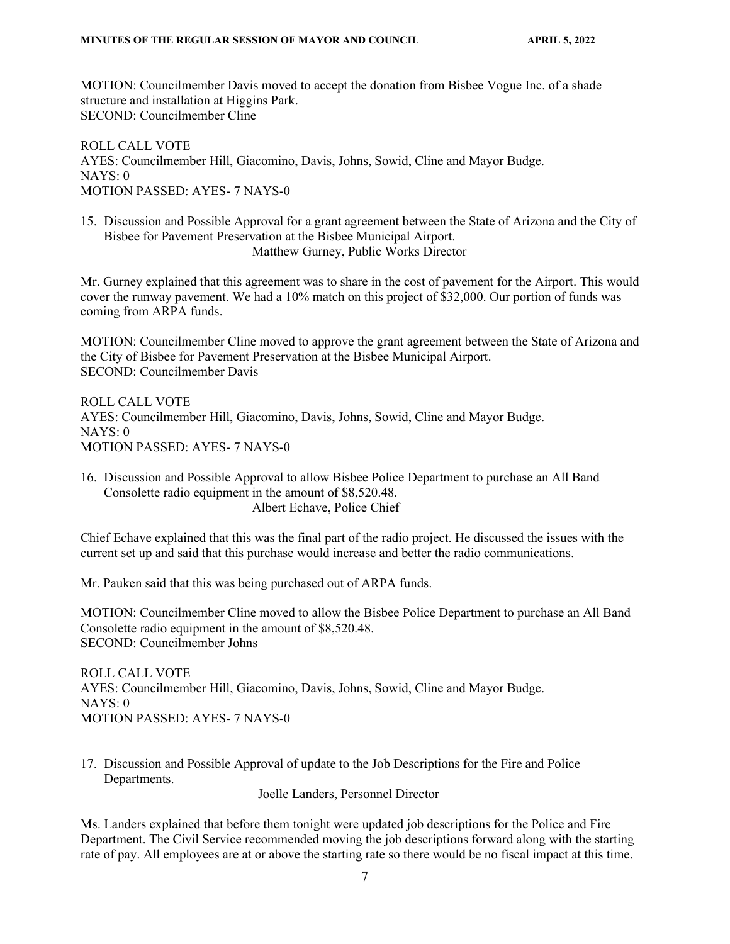MOTION: Councilmember Davis moved to accept the donation from Bisbee Vogue Inc. of a shade structure and installation at Higgins Park. SECOND: Councilmember Cline

ROLL CALL VOTE AYES: Councilmember Hill, Giacomino, Davis, Johns, Sowid, Cline and Mayor Budge. NAYS: 0 MOTION PASSED: AYES- 7 NAYS-0

15. Discussion and Possible Approval for a grant agreement between the State of Arizona and the City of Bisbee for Pavement Preservation at the Bisbee Municipal Airport. Matthew Gurney, Public Works Director

Mr. Gurney explained that this agreement was to share in the cost of pavement for the Airport. This would cover the runway pavement. We had a 10% match on this project of \$32,000. Our portion of funds was coming from ARPA funds.

MOTION: Councilmember Cline moved to approve the grant agreement between the State of Arizona and the City of Bisbee for Pavement Preservation at the Bisbee Municipal Airport. SECOND: Councilmember Davis

ROLL CALL VOTE AYES: Councilmember Hill, Giacomino, Davis, Johns, Sowid, Cline and Mayor Budge. NAYS: 0 MOTION PASSED: AYES- 7 NAYS-0

16. Discussion and Possible Approval to allow Bisbee Police Department to purchase an All Band Consolette radio equipment in the amount of \$8,520.48. Albert Echave, Police Chief

Chief Echave explained that this was the final part of the radio project. He discussed the issues with the current set up and said that this purchase would increase and better the radio communications.

Mr. Pauken said that this was being purchased out of ARPA funds.

MOTION: Councilmember Cline moved to allow the Bisbee Police Department to purchase an All Band Consolette radio equipment in the amount of \$8,520.48. SECOND: Councilmember Johns

ROLL CALL VOTE AYES: Councilmember Hill, Giacomino, Davis, Johns, Sowid, Cline and Mayor Budge. NAYS: 0 MOTION PASSED: AYES- 7 NAYS-0

17. Discussion and Possible Approval of update to the Job Descriptions for the Fire and Police Departments.

Joelle Landers, Personnel Director

Ms. Landers explained that before them tonight were updated job descriptions for the Police and Fire Department. The Civil Service recommended moving the job descriptions forward along with the starting rate of pay. All employees are at or above the starting rate so there would be no fiscal impact at this time.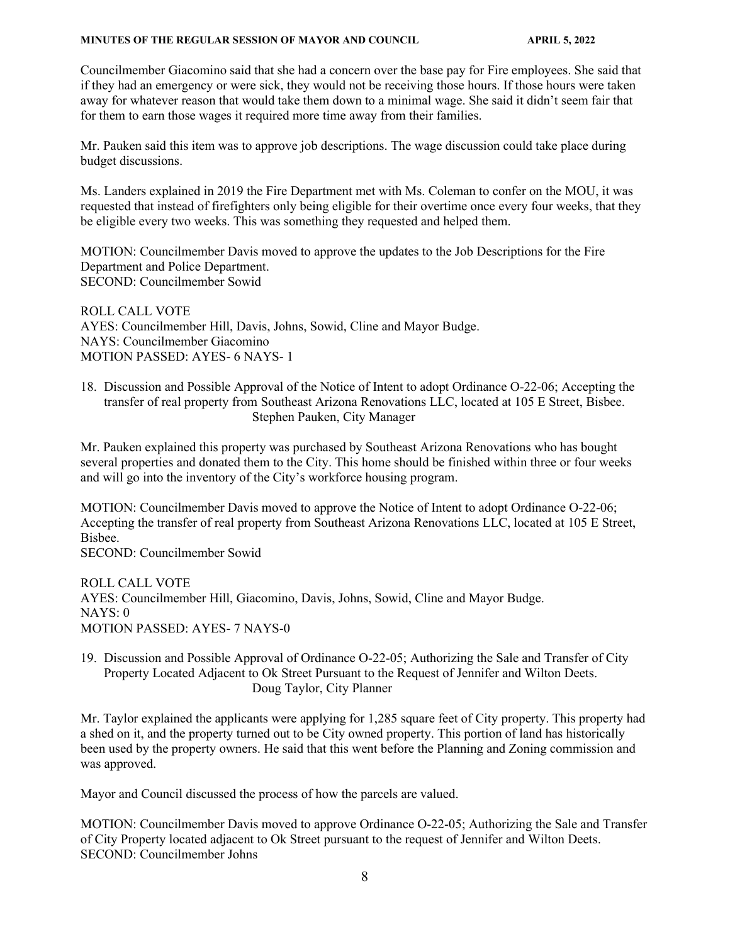Councilmember Giacomino said that she had a concern over the base pay for Fire employees. She said that if they had an emergency or were sick, they would not be receiving those hours. If those hours were taken away for whatever reason that would take them down to a minimal wage. She said it didn't seem fair that for them to earn those wages it required more time away from their families.

Mr. Pauken said this item was to approve job descriptions. The wage discussion could take place during budget discussions.

Ms. Landers explained in 2019 the Fire Department met with Ms. Coleman to confer on the MOU, it was requested that instead of firefighters only being eligible for their overtime once every four weeks, that they be eligible every two weeks. This was something they requested and helped them.

MOTION: Councilmember Davis moved to approve the updates to the Job Descriptions for the Fire Department and Police Department. SECOND: Councilmember Sowid

ROLL CALL VOTE AYES: Councilmember Hill, Davis, Johns, Sowid, Cline and Mayor Budge. NAYS: Councilmember Giacomino MOTION PASSED: AYES- 6 NAYS- 1

18. Discussion and Possible Approval of the Notice of Intent to adopt Ordinance O-22-06; Accepting the transfer of real property from Southeast Arizona Renovations LLC, located at 105 E Street, Bisbee. Stephen Pauken, City Manager

Mr. Pauken explained this property was purchased by Southeast Arizona Renovations who has bought several properties and donated them to the City. This home should be finished within three or four weeks and will go into the inventory of the City's workforce housing program.

MOTION: Councilmember Davis moved to approve the Notice of Intent to adopt Ordinance O-22-06; Accepting the transfer of real property from Southeast Arizona Renovations LLC, located at 105 E Street, Bisbee.

SECOND: Councilmember Sowid

ROLL CALL VOTE AYES: Councilmember Hill, Giacomino, Davis, Johns, Sowid, Cline and Mayor Budge. NAYS: 0 MOTION PASSED: AYES- 7 NAYS-0

19. Discussion and Possible Approval of Ordinance O-22-05; Authorizing the Sale and Transfer of City Property Located Adjacent to Ok Street Pursuant to the Request of Jennifer and Wilton Deets. Doug Taylor, City Planner

Mr. Taylor explained the applicants were applying for 1,285 square feet of City property. This property had a shed on it, and the property turned out to be City owned property. This portion of land has historically been used by the property owners. He said that this went before the Planning and Zoning commission and was approved.

Mayor and Council discussed the process of how the parcels are valued.

MOTION: Councilmember Davis moved to approve Ordinance O-22-05; Authorizing the Sale and Transfer of City Property located adjacent to Ok Street pursuant to the request of Jennifer and Wilton Deets. SECOND: Councilmember Johns